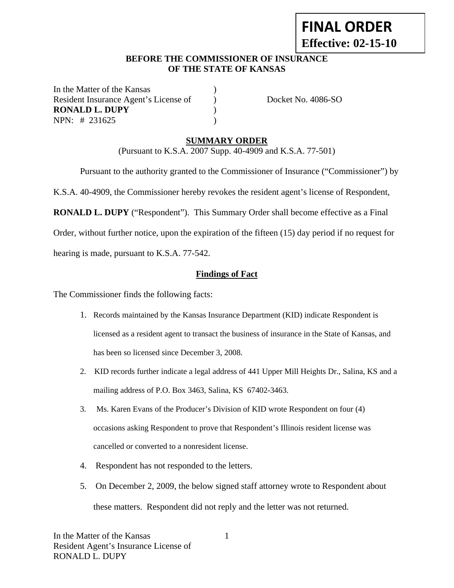# **FINAL ORDER Effective: 02-15-10**

## **BEFORE THE COMMISSIONER OF INSURANCE OF THE STATE OF KANSAS**

In the Matter of the Kansas Resident Insurance Agent's License of ) Docket No. 4086-SO **RONALD L. DUPY** ) NPN: # 231625 )

# **SUMMARY ORDER**

(Pursuant to K.S.A. 2007 Supp. 40-4909 and K.S.A. 77-501)

Pursuant to the authority granted to the Commissioner of Insurance ("Commissioner") by

K.S.A. 40-4909, the Commissioner hereby revokes the resident agent's license of Respondent,

**RONALD L. DUPY** ("Respondent"). This Summary Order shall become effective as a Final

Order, without further notice, upon the expiration of the fifteen (15) day period if no request for

hearing is made, pursuant to K.S.A. 77-542.

### **Findings of Fact**

The Commissioner finds the following facts:

- 1. Records maintained by the Kansas Insurance Department (KID) indicate Respondent is licensed as a resident agent to transact the business of insurance in the State of Kansas, and has been so licensed since December 3, 2008.
- 2. KID records further indicate a legal address of 441 Upper Mill Heights Dr., Salina, KS and a mailing address of P.O. Box 3463, Salina, KS 67402-3463.
- 3. Ms. Karen Evans of the Producer's Division of KID wrote Respondent on four (4) occasions asking Respondent to prove that Respondent's Illinois resident license was cancelled or converted to a nonresident license.
- 4. Respondent has not responded to the letters.
- 5. On December 2, 2009, the below signed staff attorney wrote to Respondent about these matters. Respondent did not reply and the letter was not returned.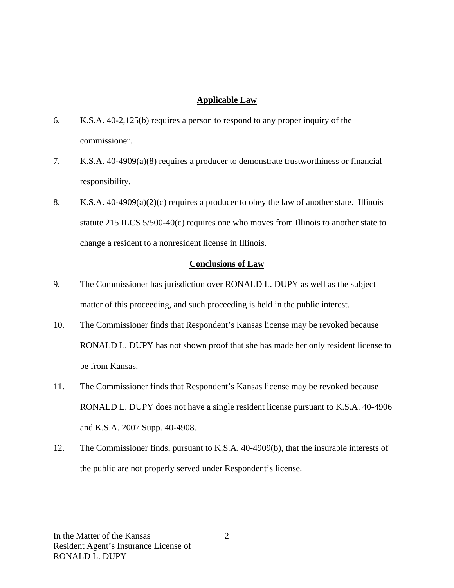#### **Applicable Law**

- 6. K.S.A. 40-2,125(b) requires a person to respond to any proper inquiry of the commissioner.
- 7. K.S.A. 40-4909(a)(8) requires a producer to demonstrate trustworthiness or financial responsibility.
- 8. K.S.A.  $40-4909(a)(2)(c)$  requires a producer to obey the law of another state. Illinois statute 215 ILCS 5/500-40(c) requires one who moves from Illinois to another state to change a resident to a nonresident license in Illinois.

#### **Conclusions of Law**

- 9. The Commissioner has jurisdiction over RONALD L. DUPY as well as the subject matter of this proceeding, and such proceeding is held in the public interest.
- 10. The Commissioner finds that Respondent's Kansas license may be revoked because RONALD L. DUPY has not shown proof that she has made her only resident license to be from Kansas.
- 11. The Commissioner finds that Respondent's Kansas license may be revoked because RONALD L. DUPY does not have a single resident license pursuant to K.S.A. 40-4906 and K.S.A. 2007 Supp. 40-4908.
- 12. The Commissioner finds, pursuant to K.S.A. 40-4909(b), that the insurable interests of the public are not properly served under Respondent's license.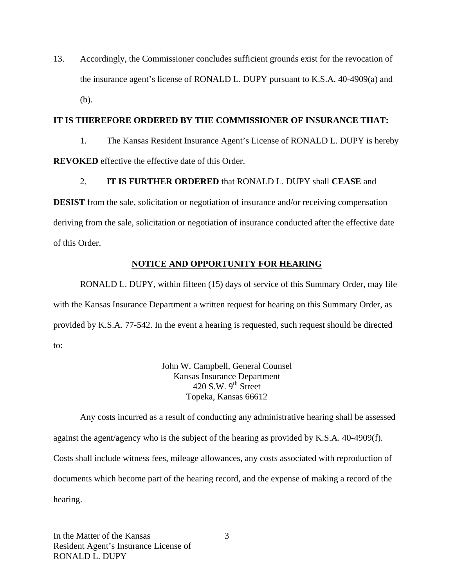13. Accordingly, the Commissioner concludes sufficient grounds exist for the revocation of the insurance agent's license of RONALD L. DUPY pursuant to K.S.A. 40-4909(a) and (b).

#### **IT IS THEREFORE ORDERED BY THE COMMISSIONER OF INSURANCE THAT:**

1. The Kansas Resident Insurance Agent's License of RONALD L. DUPY is hereby **REVOKED** effective the effective date of this Order.

2. **IT IS FURTHER ORDERED** that RONALD L. DUPY shall **CEASE** and

**DESIST** from the sale, solicitation or negotiation of insurance and/or receiving compensation deriving from the sale, solicitation or negotiation of insurance conducted after the effective date of this Order.

# **NOTICE AND OPPORTUNITY FOR HEARING**

RONALD L. DUPY, within fifteen (15) days of service of this Summary Order, may file with the Kansas Insurance Department a written request for hearing on this Summary Order, as provided by K.S.A. 77-542. In the event a hearing is requested, such request should be directed to:

> John W. Campbell, General Counsel Kansas Insurance Department 420 S.W.  $9^{th}$  Street Topeka, Kansas 66612

Any costs incurred as a result of conducting any administrative hearing shall be assessed against the agent/agency who is the subject of the hearing as provided by K.S.A. 40-4909(f). Costs shall include witness fees, mileage allowances, any costs associated with reproduction of documents which become part of the hearing record, and the expense of making a record of the hearing.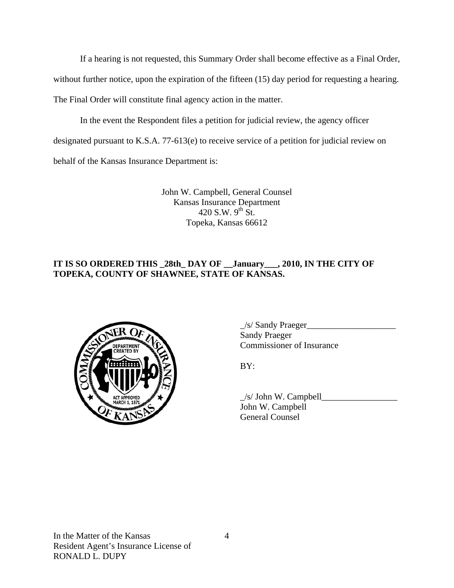If a hearing is not requested, this Summary Order shall become effective as a Final Order,

without further notice, upon the expiration of the fifteen (15) day period for requesting a hearing.

The Final Order will constitute final agency action in the matter.

In the event the Respondent files a petition for judicial review, the agency officer

designated pursuant to K.S.A. 77-613(e) to receive service of a petition for judicial review on

behalf of the Kansas Insurance Department is:

John W. Campbell, General Counsel Kansas Insurance Department 420 S.W.  $9^{th}$  St. Topeka, Kansas 66612

# **IT IS SO ORDERED THIS \_28th\_ DAY OF \_\_January\_\_\_, 2010, IN THE CITY OF TOPEKA, COUNTY OF SHAWNEE, STATE OF KANSAS.**



 \_/s/ Sandy Praeger\_\_\_\_\_\_\_\_\_\_\_\_\_\_\_\_\_\_\_\_ Sandy Praeger COMMISSIONER COMMISSIONER OF Insurance

 $\angle$ s/ John W. Campbell $\Box$  John W. Campbell General Counsel